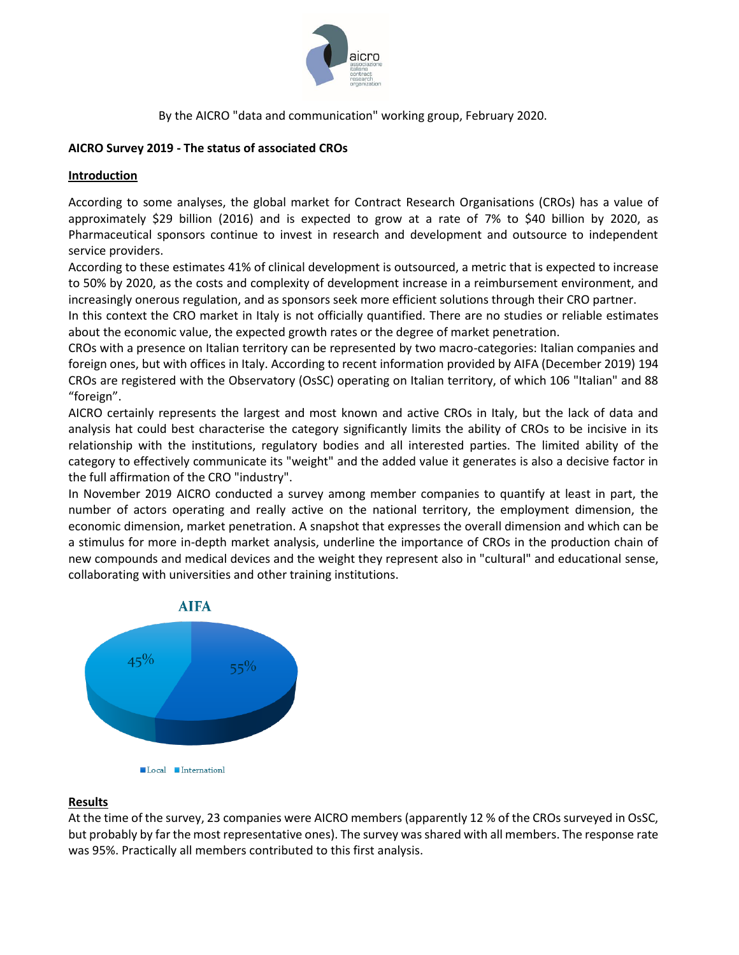

## **AICRO Survey 2019 - The status of associated CROs**

## **Introduction**

According to some analyses, the global market for Contract Research Organisations (CROs) has a value of approximately \$29 billion (2016) and is expected to grow at a rate of 7% to \$40 billion by 2020, as Pharmaceutical sponsors continue to invest in research and development and outsource to independent service providers.

According to these estimates 41% of clinical development is outsourced, a metric that is expected to increase to 50% by 2020, as the costs and complexity of development increase in a reimbursement environment, and increasingly onerous regulation, and as sponsors seek more efficient solutions through their CRO partner.

In this context the CRO market in Italy is not officially quantified. There are no studies or reliable estimates about the economic value, the expected growth rates or the degree of market penetration.

CROs with a presence on Italian territory can be represented by two macro-categories: Italian companies and foreign ones, but with offices in Italy. According to recent information provided by AIFA (December 2019) 194 CROs are registered with the Observatory (OsSC) operating on Italian territory, of which 106 "Italian" and 88 "foreign".

AICRO certainly represents the largest and most known and active CROs in Italy, but the lack of data and analysis hat could best characterise the category significantly limits the ability of CROs to be incisive in its relationship with the institutions, regulatory bodies and all interested parties. The limited ability of the category to effectively communicate its "weight" and the added value it generates is also a decisive factor in the full affirmation of the CRO "industry".

In November 2019 AICRO conducted a survey among member companies to quantify at least in part, the number of actors operating and really active on the national territory, the employment dimension, the economic dimension, market penetration. A snapshot that expresses the overall dimension and which can be a stimulus for more in-depth market analysis, underline the importance of CROs in the production chain of new compounds and medical devices and the weight they represent also in "cultural" and educational sense, collaborating with universities and other training institutions.



## **Results**

At the time of the survey, 23 companies were AICRO members (apparently 12 % of the CROs surveyed in OsSC, but probably by far the most representative ones). The survey was shared with all members. The response rate was 95%. Practically all members contributed to this first analysis.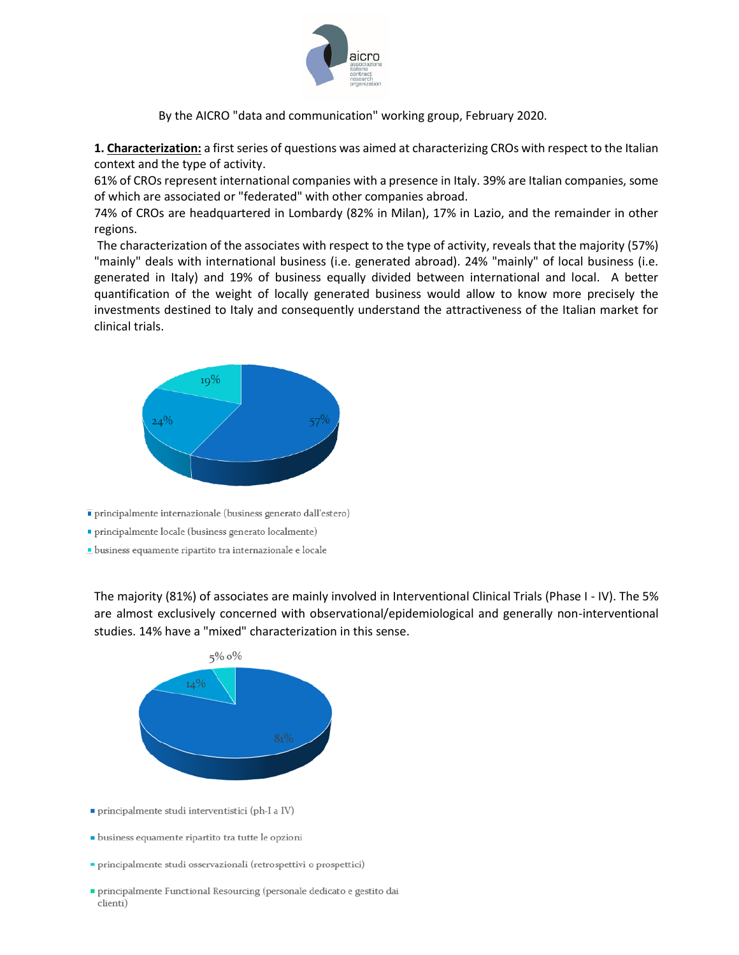

**1. Characterization:** a first series of questions was aimed at characterizing CROs with respect to the Italian context and the type of activity.

61% of CROs represent international companies with a presence in Italy. 39% are Italian companies, some of which are associated or "federated" with other companies abroad.

74% of CROs are headquartered in Lombardy (82% in Milan), 17% in Lazio, and the remainder in other regions.

The characterization of the associates with respect to the type of activity, reveals that the majority (57%) "mainly" deals with international business (i.e. generated abroad). 24% "mainly" of local business (i.e. generated in Italy) and 19% of business equally divided between international and local. A better quantification of the weight of locally generated business would allow to know more precisely the investments destined to Italy and consequently understand the attractiveness of the Italian market for clinical trials.



principalmente internazionale (business generato dall'estero)

· principalmente locale (business generato localmente)

· business equamente ripartito tra internazionale e locale

The majority (81%) of associates are mainly involved in Interventional Clinical Trials (Phase I - IV). The 5% are almost exclusively concerned with observational/epidemiological and generally non-interventional studies. 14% have a "mixed" characterization in this sense.



- principalmente studi interventistici (ph-I a IV)
- · business equamente ripartito tra tutte le opzioni
- principalmente studi osservazionali (retrospettivi o prospettici)
- principalmente Functional Resourcing (personale dedicato e gestito dai clienti)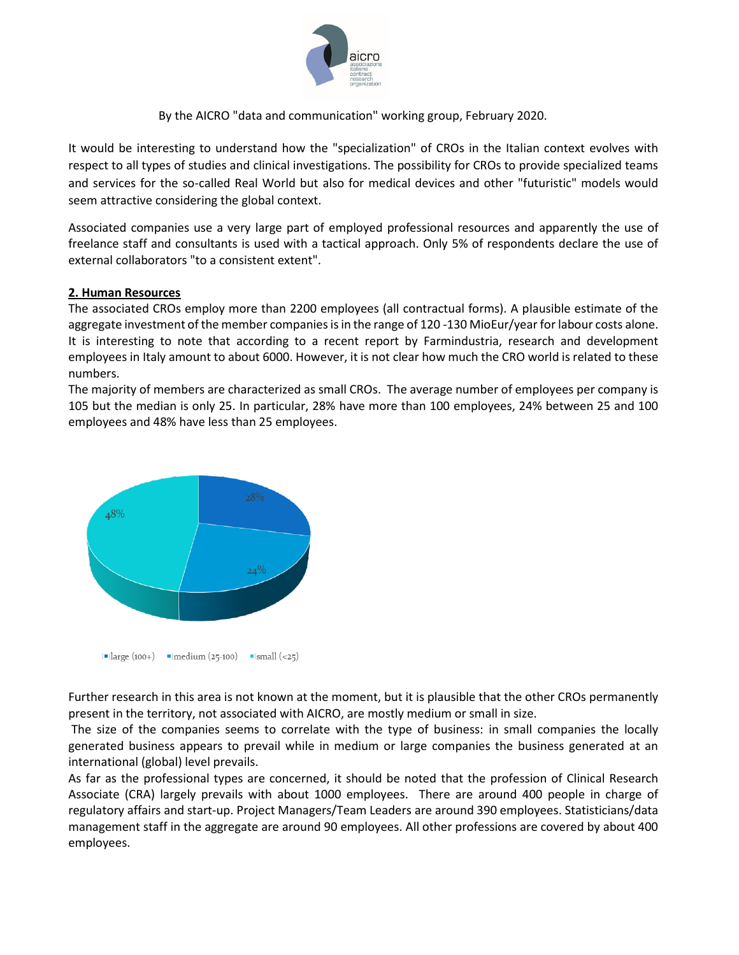

It would be interesting to understand how the "specialization" of CROs in the Italian context evolves with respect to all types of studies and clinical investigations. The possibility for CROs to provide specialized teams and services for the so-called Real World but also for medical devices and other "futuristic" models would seem attractive considering the global context.

Associated companies use a very large part of employed professional resources and apparently the use of freelance staff and consultants is used with a tactical approach. Only 5% of respondents declare the use of external collaborators "to a consistent extent".

#### **2. Human Resources**

The associated CROs employ more than 2200 employees (all contractual forms). A plausible estimate of the aggregate investment of the member companies is in the range of 120 -130 MioEur/year for labour costs alone. It is interesting to note that according to a recent report by Farmindustria, research and development employees in Italy amount to about 6000. However, it is not clear how much the CRO world is related to these numbers.

The majority of members are characterized as small CROs. The average number of employees per company is 105 but the median is only 25. In particular, 28% have more than 100 employees, 24% between 25 and 100 employees and 48% have less than 25 employees.



Further research in this area is not known at the moment, but it is plausible that the other CROs permanently present in the territory, not associated with AICRO, are mostly medium or small in size.

The size of the companies seems to correlate with the type of business: in small companies the locally generated business appears to prevail while in medium or large companies the business generated at an international (global) level prevails.

As far as the professional types are concerned, it should be noted that the profession of Clinical Research Associate (CRA) largely prevails with about 1000 employees. There are around 400 people in charge of regulatory affairs and start-up. Project Managers/Team Leaders are around 390 employees. Statisticians/data management staff in the aggregate are around 90 employees. All other professions are covered by about 400 employees.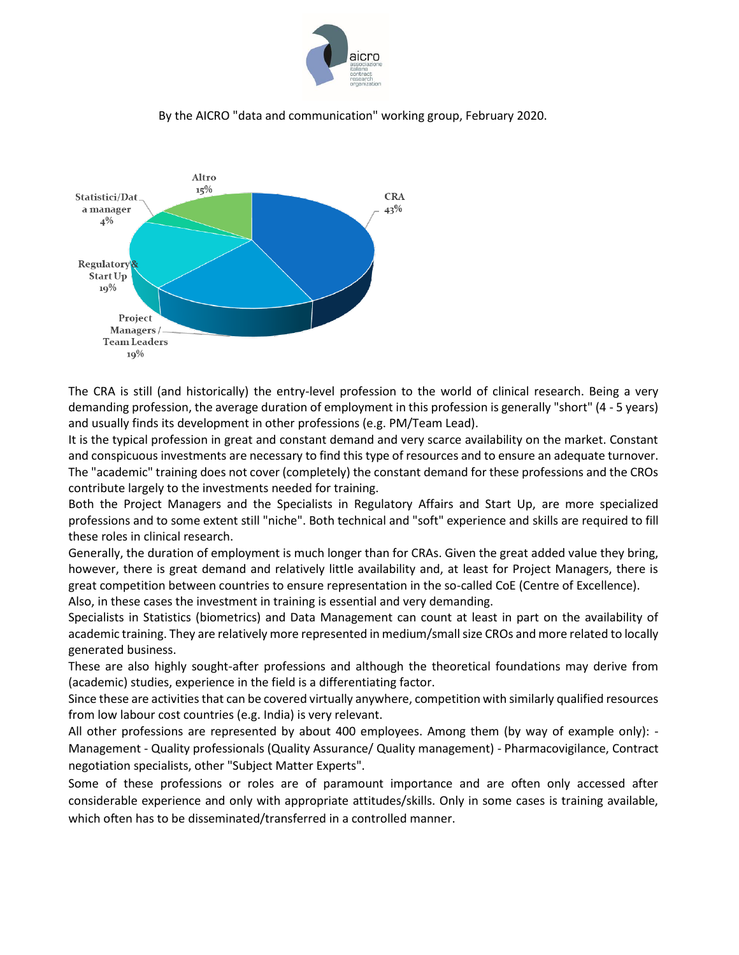



The CRA is still (and historically) the entry-level profession to the world of clinical research. Being a very demanding profession, the average duration of employment in this profession is generally "short" (4 - 5 years) and usually finds its development in other professions (e.g. PM/Team Lead).

It is the typical profession in great and constant demand and very scarce availability on the market. Constant and conspicuous investments are necessary to find this type of resources and to ensure an adequate turnover. The "academic" training does not cover (completely) the constant demand for these professions and the CROs contribute largely to the investments needed for training.

Both the Project Managers and the Specialists in Regulatory Affairs and Start Up, are more specialized professions and to some extent still "niche". Both technical and "soft" experience and skills are required to fill these roles in clinical research.

Generally, the duration of employment is much longer than for CRAs. Given the great added value they bring, however, there is great demand and relatively little availability and, at least for Project Managers, there is great competition between countries to ensure representation in the so-called CoE (Centre of Excellence).

Also, in these cases the investment in training is essential and very demanding.

Specialists in Statistics (biometrics) and Data Management can count at least in part on the availability of academic training. They are relatively more represented in medium/small size CROs and more related to locally generated business.

These are also highly sought-after professions and although the theoretical foundations may derive from (academic) studies, experience in the field is a differentiating factor.

Since these are activities that can be covered virtually anywhere, competition with similarly qualified resources from low labour cost countries (e.g. India) is very relevant.

All other professions are represented by about 400 employees. Among them (by way of example only): - Management - Quality professionals (Quality Assurance/ Quality management) - Pharmacovigilance, Contract negotiation specialists, other "Subject Matter Experts".

Some of these professions or roles are of paramount importance and are often only accessed after considerable experience and only with appropriate attitudes/skills. Only in some cases is training available, which often has to be disseminated/transferred in a controlled manner.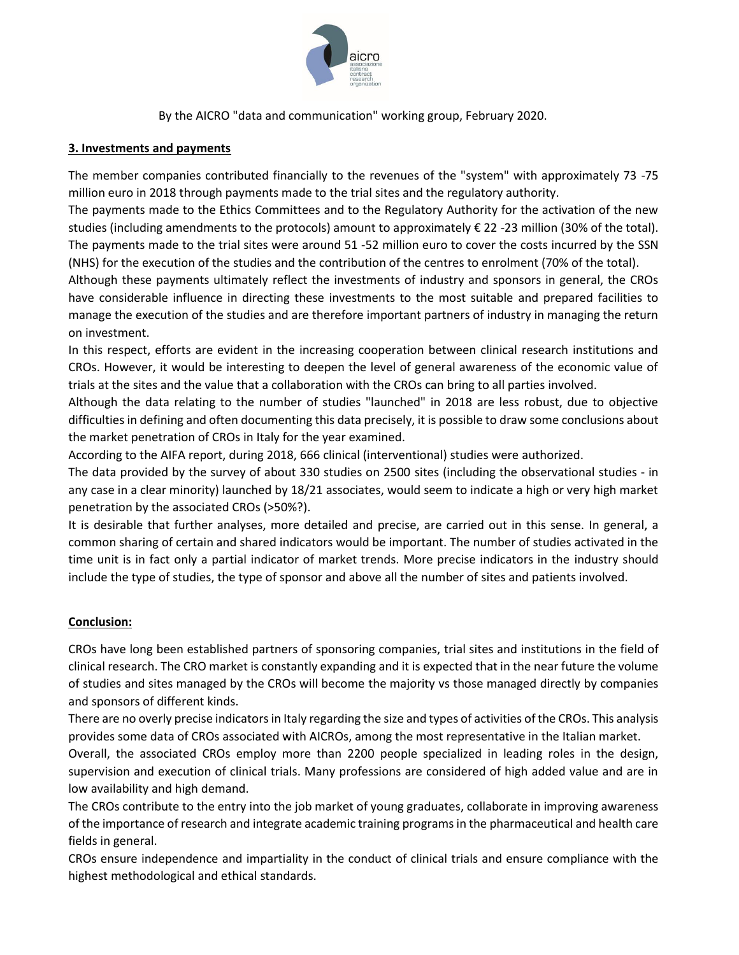

## **3. Investments and payments**

The member companies contributed financially to the revenues of the "system" with approximately 73 -75 million euro in 2018 through payments made to the trial sites and the regulatory authority.

The payments made to the Ethics Committees and to the Regulatory Authority for the activation of the new studies (including amendments to the protocols) amount to approximately € 22 -23 million (30% of the total). The payments made to the trial sites were around 51 -52 million euro to cover the costs incurred by the SSN (NHS) for the execution of the studies and the contribution of the centres to enrolment (70% of the total).

Although these payments ultimately reflect the investments of industry and sponsors in general, the CROs have considerable influence in directing these investments to the most suitable and prepared facilities to manage the execution of the studies and are therefore important partners of industry in managing the return on investment.

In this respect, efforts are evident in the increasing cooperation between clinical research institutions and CROs. However, it would be interesting to deepen the level of general awareness of the economic value of trials at the sites and the value that a collaboration with the CROs can bring to all parties involved.

Although the data relating to the number of studies "launched" in 2018 are less robust, due to objective difficulties in defining and often documenting this data precisely, it is possible to draw some conclusions about the market penetration of CROs in Italy for the year examined.

According to the AIFA report, during 2018, 666 clinical (interventional) studies were authorized.

The data provided by the survey of about 330 studies on 2500 sites (including the observational studies - in any case in a clear minority) launched by 18/21 associates, would seem to indicate a high or very high market penetration by the associated CROs (>50%?).

It is desirable that further analyses, more detailed and precise, are carried out in this sense. In general, a common sharing of certain and shared indicators would be important. The number of studies activated in the time unit is in fact only a partial indicator of market trends. More precise indicators in the industry should include the type of studies, the type of sponsor and above all the number of sites and patients involved.

# **Conclusion:**

CROs have long been established partners of sponsoring companies, trial sites and institutions in the field of clinical research. The CRO market is constantly expanding and it is expected that in the near future the volume of studies and sites managed by the CROs will become the majority vs those managed directly by companies and sponsors of different kinds.

There are no overly precise indicators in Italy regarding the size and types of activities of the CROs. This analysis provides some data of CROs associated with AICROs, among the most representative in the Italian market.

Overall, the associated CROs employ more than 2200 people specialized in leading roles in the design, supervision and execution of clinical trials. Many professions are considered of high added value and are in low availability and high demand.

The CROs contribute to the entry into the job market of young graduates, collaborate in improving awareness of the importance of research and integrate academic training programs in the pharmaceutical and health care fields in general.

CROs ensure independence and impartiality in the conduct of clinical trials and ensure compliance with the highest methodological and ethical standards.